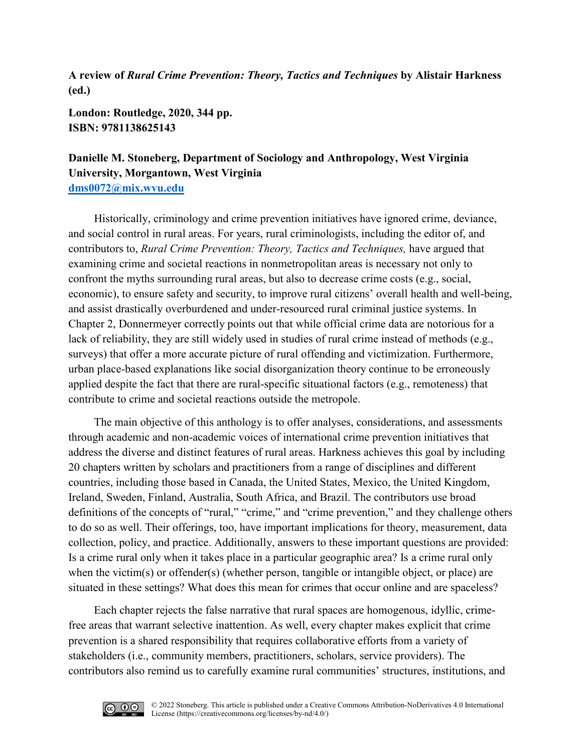**A review of** *Rural Crime Prevention: Theory, Tactics and Techniques* **by Alistair Harkness (ed.)**

**London: Routledge, 2020, 344 pp. ISBN: 9781138625143**

## **Danielle M. Stoneberg, Department of Sociology and Anthropology, West Virginia University, Morgantown, West Virginia [dms0072@mix.wvu.edu](mailto:dms0072@mix.wvu.edu)**

Historically, criminology and crime prevention initiatives have ignored crime, deviance, and social control in rural areas. For years, rural criminologists, including the editor of, and contributors to, *Rural Crime Prevention: Theory, Tactics and Techniques,* have argued that examining crime and societal reactions in nonmetropolitan areas is necessary not only to confront the myths surrounding rural areas, but also to decrease crime costs (e.g., social, economic), to ensure safety and security, to improve rural citizens' overall health and well-being, and assist drastically overburdened and under-resourced rural criminal justice systems. In Chapter 2, Donnermeyer correctly points out that while official crime data are notorious for a lack of reliability, they are still widely used in studies of rural crime instead of methods (e.g., surveys) that offer a more accurate picture of rural offending and victimization. Furthermore, urban place-based explanations like social disorganization theory continue to be erroneously applied despite the fact that there are rural-specific situational factors (e.g., remoteness) that contribute to crime and societal reactions outside the metropole.

The main objective of this anthology is to offer analyses, considerations, and assessments through academic and non-academic voices of international crime prevention initiatives that address the diverse and distinct features of rural areas. Harkness achieves this goal by including 20 chapters written by scholars and practitioners from a range of disciplines and different countries, including those based in Canada, the United States, Mexico, the United Kingdom, Ireland, Sweden, Finland, Australia, South Africa, and Brazil. The contributors use broad definitions of the concepts of "rural," "crime," and "crime prevention," and they challenge others to do so as well. Their offerings, too, have important implications for theory, measurement, data collection, policy, and practice. Additionally, answers to these important questions are provided: Is a crime rural only when it takes place in a particular geographic area? Is a crime rural only when the victim(s) or offender(s) (whether person, tangible or intangible object, or place) are situated in these settings? What does this mean for crimes that occur online and are spaceless?

Each chapter rejects the false narrative that rural spaces are homogenous, idyllic, crimefree areas that warrant selective inattention. As well, every chapter makes explicit that crime prevention is a shared responsibility that requires collaborative efforts from a variety of stakeholders (i.e., community members, practitioners, scholars, service providers). The contributors also remind us to carefully examine rural communities' structures, institutions, and

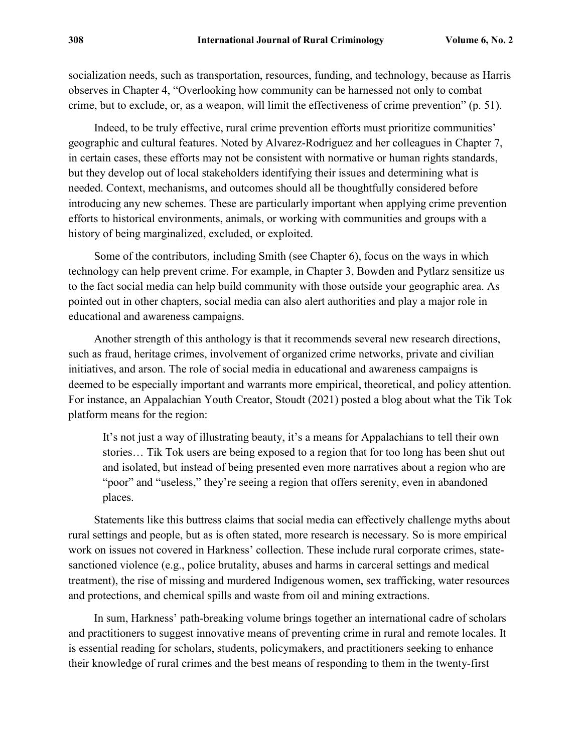socialization needs, such as transportation, resources, funding, and technology, because as Harris observes in Chapter 4, "Overlooking how community can be harnessed not only to combat crime, but to exclude, or, as a weapon, will limit the effectiveness of crime prevention" (p. 51).

Indeed, to be truly effective, rural crime prevention efforts must prioritize communities' geographic and cultural features. Noted by Alvarez-Rodriguez and her colleagues in Chapter 7, in certain cases, these efforts may not be consistent with normative or human rights standards, but they develop out of local stakeholders identifying their issues and determining what is needed. Context, mechanisms, and outcomes should all be thoughtfully considered before introducing any new schemes. These are particularly important when applying crime prevention efforts to historical environments, animals, or working with communities and groups with a history of being marginalized, excluded, or exploited.

Some of the contributors, including Smith (see Chapter 6), focus on the ways in which technology can help prevent crime. For example, in Chapter 3, Bowden and Pytlarz sensitize us to the fact social media can help build community with those outside your geographic area. As pointed out in other chapters, social media can also alert authorities and play a major role in educational and awareness campaigns.

Another strength of this anthology is that it recommends several new research directions, such as fraud, heritage crimes, involvement of organized crime networks, private and civilian initiatives, and arson. The role of social media in educational and awareness campaigns is deemed to be especially important and warrants more empirical, theoretical, and policy attention. For instance, an Appalachian Youth Creator, Stoudt (2021) posted a blog about what the Tik Tok platform means for the region:

It's not just a way of illustrating beauty, it's a means for Appalachians to tell their own stories… Tik Tok users are being exposed to a region that for too long has been shut out and isolated, but instead of being presented even more narratives about a region who are "poor" and "useless," they're seeing a region that offers serenity, even in abandoned places.

Statements like this buttress claims that social media can effectively challenge myths about rural settings and people, but as is often stated, more research is necessary. So is more empirical work on issues not covered in Harkness' collection. These include rural corporate crimes, statesanctioned violence (e.g., police brutality, abuses and harms in carceral settings and medical treatment), the rise of missing and murdered Indigenous women, sex trafficking, water resources and protections, and chemical spills and waste from oil and mining extractions.

In sum, Harkness' path-breaking volume brings together an international cadre of scholars and practitioners to suggest innovative means of preventing crime in rural and remote locales. It is essential reading for scholars, students, policymakers, and practitioners seeking to enhance their knowledge of rural crimes and the best means of responding to them in the twenty-first